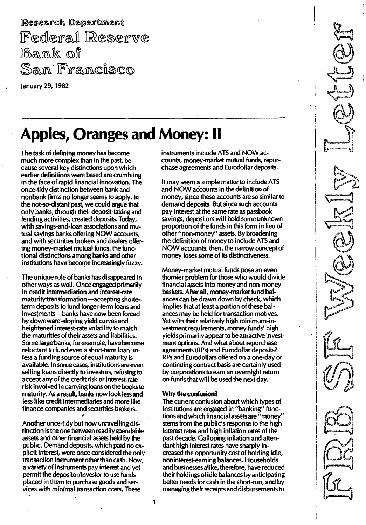Research Department Federal Reserve Bank of San Francisco

January 29,1982

# Apples, Oranges and Money: II

The task of defining money has become much more complex than in the past, because several key distinctions upon which earlier definitions were based are crumbling in the face of rapid financial innovation. The once-tidy distinction between bank and nonbank firms no longer seems to apply. In the not-so-distant past, we could argue that only banks, through their deposit-taking and lending activities, created deposits. Today, with savings-and-loan associations and mutual savings banks offering NOW accounts, and with securities brokers and dealers offering money-market mutual funds, the functional distinctions among banks and other institutions have become increasingly fuzzy.

i/ The unique role of banks has disappeared in other ways as well. Once engaged primarily in credit intermediation and interest-rate maturity transformation - accepting shorterterm deposits to fund longer-term loans and investments-banks have now been forced by downward-sloping yield curves and heightened interest-rate volatility to match the maturities of their assets and liabilities. Some large banks, for example, have become reluctant to fund even a short-term loan unless a funding source of equal maturity is available. In some cases, institutions are even selling loans directly to investors, refusing to accept any of the credit risk or interest-rate risk involved in carrying loans on the books to maturity. As a result, banks now look less and less like credit intermediaries and more like finance companies and securities brokers.

Another once-tidy but now unravelling distinction is the one between readily spendable assets and other financial assets held by the public. Demand deposits, which paid no explicit interest, were once considered the only transaction instrument other than cash. Now, a variety of instruments pay interest and yet permit the depositor/investor to use funds placed in them to purchase goods and services with minimal transaction costs. These

instruments include ATS and NOW accounts, money-market mutual funds, repurchase agreements and Eurodollar deposits.

It may seem a simple matter to include ATS and NOW accounts in the definition of money, since these accounts are so similar to demand deposits. But since such accounts pay interest at the same rate as passbook savings, depositors will hold some unknown proportion of the funds in this form in lieu of other "non-money" assets. By broadening the definition of money to include ATS and NOW accounts, then, the narrow concept of money loses some of its distinctiveness.

Money-market mutual funds pose an even thornier problem for those who would divide financial assets into money and non-money baskets. After all, money-market fund balances can be drawn down by check, which implies that at least a portion of these balances may be held for transaction motives. Yet with their relatively high minimum-investment requirements, money funds' high yields primari ly appearto be attractive investment options. And what about repurchase agreements (RPs) and Eurodollar deposits? RPs and Eurodollars offered on a one-day or continuing contract basis are certainly used by corporations to earn an overnight return on funds that will be used the next day.

## Why the confusion?

The current confusion about which types of institutions are engaged in "banking" functions and which financial assets are "money" stems from the public's response to the high interest rates and high inflation rates of the past decade. Galloping inflation and attendant high interest rates have sharply increased the opportunity cost of holding idle, non interest-earning balances. Households and businesses alike, therefore, have reduced their holdings of idle balances by anticipating better needs for cash in the short-run, and by managing their receipts and disbursements to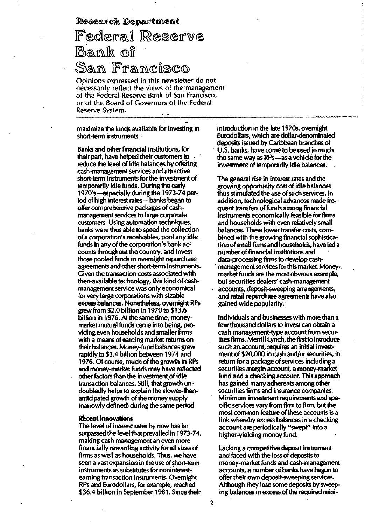Research Department

## If®cdl®If@ll Bank of San Francisco

Opinions expressed in this newsletter do not necessarily reflect the views of the management of the Federal Reserve Bank of San Francisco, or of the Board of Governors of the Federal Reserve Svstern.

maximize the funds available for investing in short-term instruments.

Banks and other financial institutions, for their part, have helped their customers to reduce the level of idle balances by offering cash-management services and attractive short-term instruments for the investment of temporarily idle funds. During the early 1 970's-especially during the 1973-74 period of high interest rates-banks began to offer comprehensive packages of cashmanagement services to large corporate customers. Using automation techniques, banks were thus able to speed the collection of a corporation's receivables, pool any idle funds in any of the corporation's bank accounts throughout the country, and invest those pooled funds in overnight repurchase agreements and other short-term instruments. Given the transaction costs associated with then-available technology, this kind of cashmanagement service was only economical for very large corporations with sizable excess balances. Nonetheless, overnight RPs grew from \$2.0 billion in 1970 to \$13.6 billion in 1976. At the same time, moneymarket mutual funds came into being, providing even households and smaller firms with a means of earning market returns on their balances. Money-fund balances grew rapidly to \$3.4 billion between 1974 and '1976. Of course, much of the growth in RPs and money-market funds may have reflected other factors than the investment of idle transaction balances. Still, that growth undoubtedly helps to explain the slower-thananticipated growth of the money supply (narrowly defined) during the same period.

#### Recent innovations

The level of interest rates by now has far surpassed the level that prevailed in 1973-74, making cash management an even more financially rewarding activity for all sizes of firms as well as households. Thus, we have seen a vast expansion in the use of short-term instruments as substitutes for noninterestearning transaction instruments. Overnight RPs and Eurodollars, for example, reached \$36.4 billion in September 1981. Since their

introduction in the late 1970s, overnight Eurodollars, which are dollar-denominated deposits issued by Caribbean branches of U.S. banks, have come to be used in much the same way as RPs-as a vehicle for the investment of temporarily idle balances.

The general rise in interest rates and the growing opportunity cost of idle balances thus stimulated the use of such services. In addition, technological advances made frequent transfers of funds among financial instruments economically feasible for firms and households with even relatively small balances. These lower transfer costs, combined with the growing financial sophistication of small firms and households, have led a number of financial institutions and data-processing firms to develop cash management services for this market. Moneymarket funds are the most obvious example, but securities dealers' cash-management accounts, deposit-sweeping arrangements, and retail repurchase agreements have also gained wide popularity.

Individuals and businesses with more than a few thousand dollars to invest can obtain a cash management-type account from securities firms. Merrill Lynch, the first to introduce such an account, requires an initial investment of \$20,000 in cash and/or securities, in return for a package of services including a securities margin account, a money-market fund and a checking account. This approach has gained many adherents among other securities firms and insurance companies. Minimum investment requirements and specific services vary from firm to firm, but the most common feature of these accounts is a link whereby excess balances in a checking account are periodically "swept" into a higher-yielding money fund.

Lacking a competitive deposit instrument and faced with the loss of deposits to money-market funds and cash-management accounts, a number of banks have begun to offer their own deposit-sweeping services. Although they lose some deposits by sweeping balances in excess of the required mini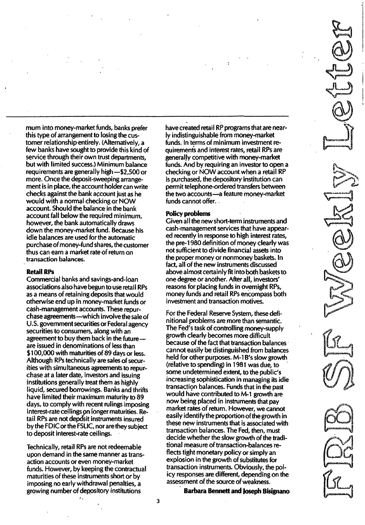mum into money-market funds, banks prefer this type of arrangement to losing the customer relationship entirely. (Alternatively, a few banks have sought to provide this kind of service through their own trust departments, but with limited success.) Minimum balance requirements are generally high -\$2,500 or more. Once the deposit-sweeping arrangement is in place, the account holder can write checks against the bank account just as he would with a normal checking or NOW account. Should the balance in the bank account fall below the required minimum, however, the bank automatically draws down the money-market fund. Because his idle balances are used for the automatic purchase of money-fund shares, the customer thus can earn a market rate of return on transaction balances.

### Retail RPs

Commercial banks and savings-and-Ioan associations also have begun to use retail RPs as a means of retaining deposits that would otherwise end up in money-market funds or cash-management accounts. These repurchase agreements-which involve the sale of U.S. government securities or Federal agency securities to consumers, along with an agreement to buy them back in the futureare issued in denominations of less than \$1 00,000 with maturities of 89 days or less. Although RPs technically are sales of securities with simultaneous agreements to repurchase at a later date, investors and issuing institutions generally treat them as highly liquid, secured borrowings. Banks and thrifts have limited their maximum maturity to 89 days, to comply with recent rulings imposing interest-rate ceilings on longer maturities. Retail RPs are not deposit instruments insured by the FDIC or the FSLIC, nor are they subject to deposit interest-rate ceilings.

Technically, retail RPs are not redeemable upon demand in the same manner as transaction accounts or even money-market funds. However, by keeping the contractual maturities of these instruments short or by imposing no early withdrawal penalties, a growing number of depository institutions

 $\lambda$ 

have created retail RP programs that are nearly indistinguishable from money-market funds. In terms of minimum investment requiremenis and interest rates, retail RPs are generally competitive with money-market funds. And by requiring an investor to open a checking or NOW account when a retail RP is purchased, the depository institution can permit telephone-ordered transfers between the two accounts-a feature money-market funds cannot offer...

#### Policy problems

Given all the new short-term instruments and cash-management services that have appeared recently in response to high interest rates, the pre-1 980 definition of money clearly was not sufficient to divide financial assets into the proper money or nonmoney baskets. In fact, all of the new instruments discussed above almost certainly fit into both baskets to one degree or another. After all, investors' reasons for placing funds in overnight RPs, money funds and retail RPs encompass both investment and transaction motives.

For the Federal Reserve System, these definitional problems are more than semantic. The Fed's task of controlling money-supply growth clearly becomes mOre difficult because of the fact that transaction balances cannot easily be distinguished from balances held for other purposes. M-1B's slow growth (relative to spending) in 1981 was due, to some undetermined extent, to the public's increasing sophistication in managing its idle transaction balances. Funds that in the past would have contributed to M-1 growth are now being placed in instruments that pay market rates of return. However, we cannot easily identify the proportion of the growth in these new instruments that is associated with transaction balances. The Fed, then, must decide whether the slow growth of the traditional measure of transaction-balances reflects tight monetary policy or simply an explosion in the growth of substitutes for transaction instruments. Obviously, the policy responses are different, depending on the assessment of the source of weakness.

Barbara Bennett and Joseph Bisignano